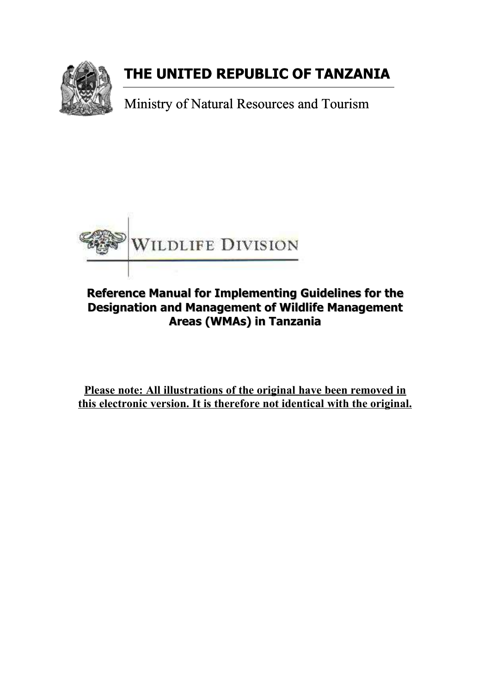

### **THE UNITED REPUBLIC OF TANZANIA**

Ministry of Natural Resources and Tourism



### **Reference Manual for Implementing Guideli Guidelines for the Designation and Management of Wildlife Management Areas (WMAs) in Tanzania**

**Please note: All illustrations of the original have been removed in this electronic version. It is therefore not identical with the original.**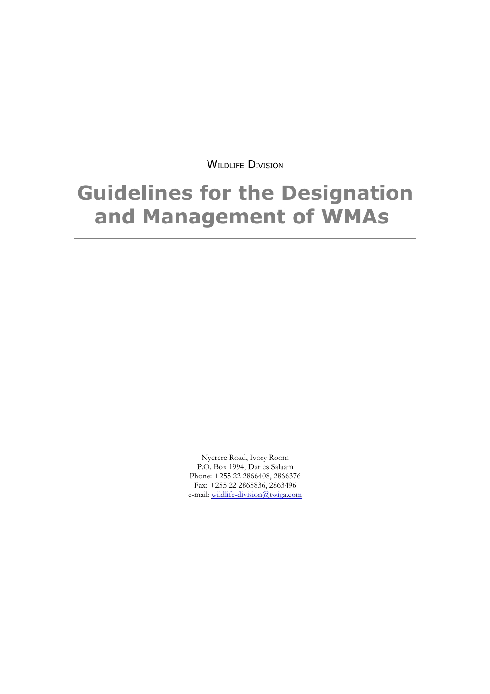WILDLIFE DIVISION

### **Guidelines for the Designation and Management of WMAs**

Nyerere Road, Ivory Room P.O. Box 1994, Dar es Salaam Phone: +255 22 2866408, 2866376 Fax: +255 22 2865836, 2863496 e-mail: wildlife-division@twiga.com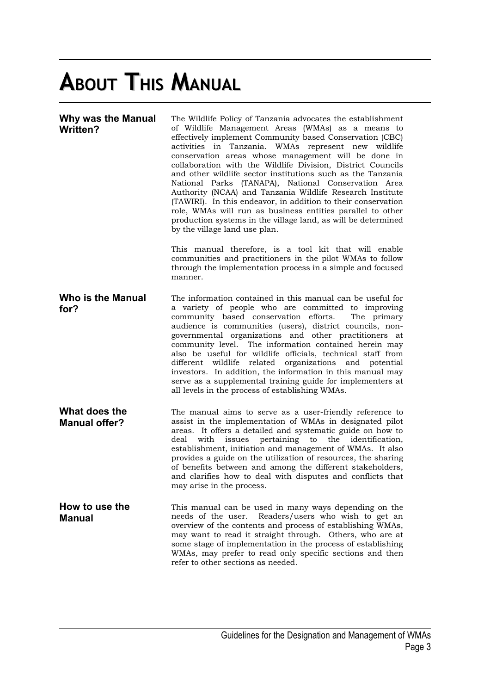# **ABOUT THIS MANUAL**

| <b>Why was the Manual</b><br><b>Written?</b> | The Wildlife Policy of Tanzania advocates the establishment<br>of Wildlife Management Areas (WMAs) as a means to<br>effectively implement Community based Conservation (CBC)<br>activities in Tanzania. WMAs represent new wildlife<br>conservation areas whose management will be done in<br>collaboration with the Wildlife Division, District Councils<br>and other wildlife sector institutions such as the Tanzania<br>National Parks (TANAPA), National Conservation Area<br>Authority (NCAA) and Tanzania Wildlife Research Institute<br>(TAWIRI). In this endeavor, in addition to their conservation<br>role, WMAs will run as business entities parallel to other<br>production systems in the village land, as will be determined<br>by the village land use plan. |
|----------------------------------------------|-------------------------------------------------------------------------------------------------------------------------------------------------------------------------------------------------------------------------------------------------------------------------------------------------------------------------------------------------------------------------------------------------------------------------------------------------------------------------------------------------------------------------------------------------------------------------------------------------------------------------------------------------------------------------------------------------------------------------------------------------------------------------------|
|                                              | This manual therefore, is a tool kit that will enable<br>communities and practitioners in the pilot WMAs to follow<br>through the implementation process in a simple and focused<br>manner.                                                                                                                                                                                                                                                                                                                                                                                                                                                                                                                                                                                   |
| <b>Who is the Manual</b><br>for?             | The information contained in this manual can be useful for<br>a variety of people who are committed to improving<br>community based conservation efforts.<br>The primary<br>audience is communities (users), district councils, non-<br>governmental organizations and other practitioners at<br>community level. The information contained herein may<br>also be useful for wildlife officials, technical staff from<br>different wildlife related organizations and potential<br>investors. In addition, the information in this manual may<br>serve as a supplemental training guide for implementers at<br>all levels in the process of establishing WMAs.                                                                                                                |
| What does the<br><b>Manual offer?</b>        | The manual aims to serve as a user-friendly reference to<br>assist in the implementation of WMAs in designated pilot<br>areas. It offers a detailed and systematic guide on how to<br>with<br>pertaining to the identification,<br>deal<br>issues<br>establishment, initiation and management of WMAs. It also<br>provides a guide on the utilization of resources, the sharing<br>of benefits between and among the different stakeholders,<br>and clarifies how to deal with disputes and conflicts that<br>may arise in the process.                                                                                                                                                                                                                                       |
| How to use the<br><b>Manual</b>              | This manual can be used in many ways depending on the<br>needs of the user.<br>Readers/users who wish to get an<br>overview of the contents and process of establishing WMAs,<br>may want to read it straight through. Others, who are at<br>some stage of implementation in the process of establishing<br>WMAs, may prefer to read only specific sections and then<br>refer to other sections as needed.                                                                                                                                                                                                                                                                                                                                                                    |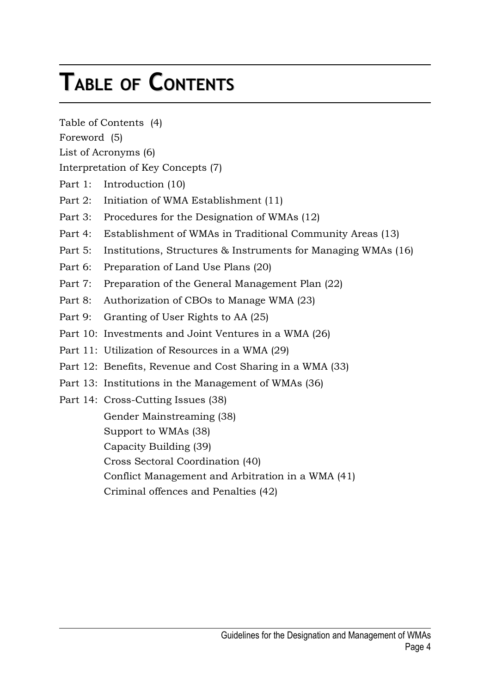# **TABLE OF CONTENTS**

Table of Contents (4)

Foreword (5)

List of Acronyms (6)

Interpretation of Key Concepts (7)

- Part 1: Introduction (10)
- Part 2: Initiation of WMA Establishment (11)
- Part 3: Procedures for the Designation of WMAs (12)
- Part 4: Establishment of WMAs in Traditional Community Areas (13)
- Part 5: Institutions, Structures & Instruments for Managing WMAs (16)
- Part 6: Preparation of Land Use Plans (20)
- Part 7: Preparation of the General Management Plan (22)
- Part 8: Authorization of CBOs to Manage WMA (23)
- Part 9: Granting of User Rights to AA (25)
- Part 10: Investments and Joint Ventures in a WMA (26)
- Part 11: Utilization of Resources in a WMA (29)
- Part 12: Benefits, Revenue and Cost Sharing in a WMA (33)
- Part 13: Institutions in the Management of WMAs (36)
- Part 14: Cross-Cutting Issues (38)

Gender Mainstreaming (38)

Support to WMAs (38)

Capacity Building (39)

Cross Sectoral Coordination (40)

Conflict Management and Arbitration in a WMA (41)

Criminal offences and Penalties (42)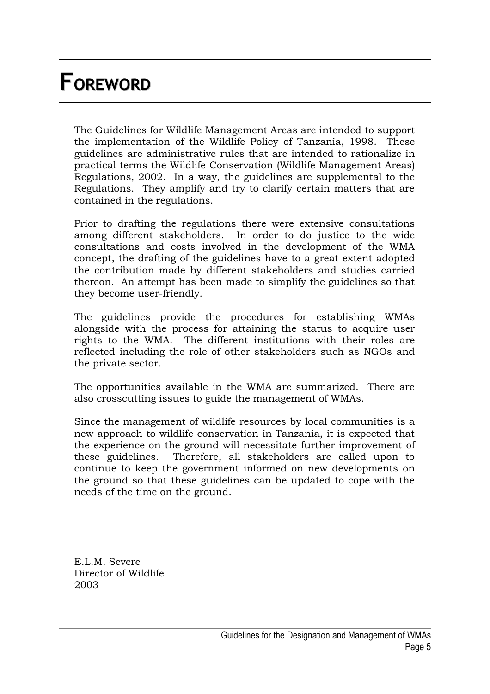# **FOREWORD**

The Guidelines for Wildlife Management Areas are intended to support the implementation of the Wildlife Policy of Tanzania, 1998. These guidelines are administrative rules that are intended to rationalize in practical terms the Wildlife Conservation (Wildlife Management Areas) Regulations, 2002. In a way, the guidelines are supplemental to the Regulations. They amplify and try to clarify certain matters that are contained in the regulations.

Prior to drafting the regulations there were extensive consultations among different stakeholders. In order to do justice to the wide consultations and costs involved in the development of the WMA concept, the drafting of the guidelines have to a great extent adopted the contribution made by different stakeholders and studies carried thereon. An attempt has been made to simplify the guidelines so that they become user-friendly.

The guidelines provide the procedures for establishing WMAs alongside with the process for attaining the status to acquire user rights to the WMA. The different institutions with their roles are reflected including the role of other stakeholders such as NGOs and the private sector.

The opportunities available in the WMA are summarized. There are also crosscutting issues to guide the management of WMAs.

Since the management of wildlife resources by local communities is a new approach to wildlife conservation in Tanzania, it is expected that the experience on the ground will necessitate further improvement of these guidelines. Therefore, all stakeholders are called upon to continue to keep the government informed on new developments on the ground so that these guidelines can be updated to cope with the needs of the time on the ground.

E.L.M. Severe Director of Wildlife 2003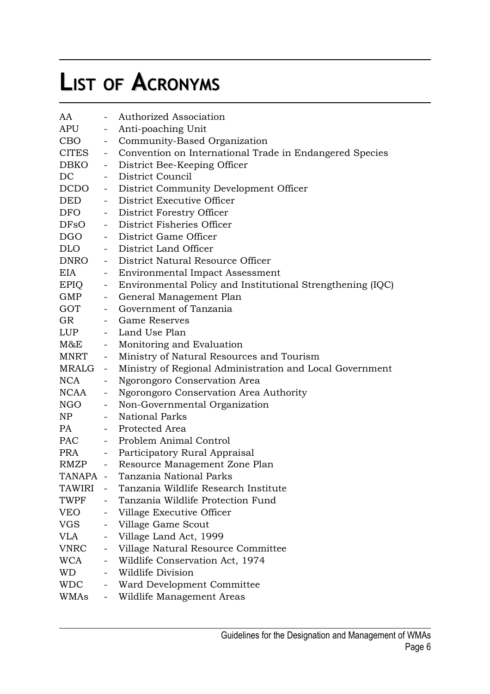# **LIST OF ACRONYMS**

| AA                                                                                                                                                                                                                             |                          | Authorized Association                                       |
|--------------------------------------------------------------------------------------------------------------------------------------------------------------------------------------------------------------------------------|--------------------------|--------------------------------------------------------------|
| APU                                                                                                                                                                                                                            | $\sim$                   | Anti-poaching Unit                                           |
| CBO                                                                                                                                                                                                                            | $\overline{\phantom{0}}$ | Community-Based Organization                                 |
| <b>CITES</b>                                                                                                                                                                                                                   | $\sim$                   | Convention on International Trade in Endangered Species      |
| DBKO                                                                                                                                                                                                                           | $\sim$                   | District Bee-Keeping Officer                                 |
| DC                                                                                                                                                                                                                             | $\sim$                   | District Council                                             |
| DCDO                                                                                                                                                                                                                           | $\sim$ $-$               | District Community Development Officer                       |
| DED                                                                                                                                                                                                                            |                          | District Executive Officer                                   |
| <b>DFO</b>                                                                                                                                                                                                                     |                          | - District Forestry Officer                                  |
| DFsO                                                                                                                                                                                                                           |                          | - District Fisheries Officer                                 |
| DGO                                                                                                                                                                                                                            |                          | - District Game Officer                                      |
| <b>DLO</b>                                                                                                                                                                                                                     |                          | - District Land Officer                                      |
| DNRO                                                                                                                                                                                                                           |                          | - District Natural Resource Officer                          |
| EIA                                                                                                                                                                                                                            |                          | - Environmental Impact Assessment                            |
| EPIO                                                                                                                                                                                                                           |                          | - Environmental Policy and Institutional Strengthening (IQC) |
| GMP                                                                                                                                                                                                                            | $\sim 100$               | General Management Plan                                      |
| GOT                                                                                                                                                                                                                            |                          | - Government of Tanzania                                     |
| GR                                                                                                                                                                                                                             |                          | - Game Reserves                                              |
| LUP                                                                                                                                                                                                                            |                          | - Land Use Plan                                              |
| $M\&E$                                                                                                                                                                                                                         |                          | - Monitoring and Evaluation                                  |
| MNRT                                                                                                                                                                                                                           |                          | - Ministry of Natural Resources and Tourism                  |
| MRALG -                                                                                                                                                                                                                        |                          | Ministry of Regional Administration and Local Government     |
| <b>NCA</b>                                                                                                                                                                                                                     | $\sim$ $-$               | Ngorongoro Conservation Area                                 |
| NCAA                                                                                                                                                                                                                           |                          | Ngorongoro Conservation Area Authority                       |
| NGO                                                                                                                                                                                                                            | $\sim$                   | Non-Governmental Organization                                |
| NP                                                                                                                                                                                                                             | $\sim$                   | <b>National Parks</b>                                        |
| PA and the set of the set of the set of the set of the set of the set of the set of the set of the set of the set of the set of the set of the set of the set of the set of the set of the set of the set of the set of the se |                          | - Protected Area                                             |
| <b>PAC</b>                                                                                                                                                                                                                     |                          | - Problem Animal Control                                     |
| PRA                                                                                                                                                                                                                            |                          | - Participatory Rural Appraisal                              |
| RMZP                                                                                                                                                                                                                           |                          | - Resource Management Zone Plan                              |
|                                                                                                                                                                                                                                |                          | TANAPA - Tanzania National Parks                             |
| <b>TAWIRI</b>                                                                                                                                                                                                                  |                          | Tanzania Wildlife Research Institute                         |
| TWPF                                                                                                                                                                                                                           |                          | Tanzania Wildlife Protection Fund                            |
| <b>VEO</b>                                                                                                                                                                                                                     | $\overline{\phantom{0}}$ | Village Executive Officer                                    |
| VGS                                                                                                                                                                                                                            | $\overline{\phantom{a}}$ | Village Game Scout                                           |
| VLA                                                                                                                                                                                                                            | $\overline{\phantom{a}}$ | Village Land Act, 1999                                       |
| VNRC                                                                                                                                                                                                                           | $\sim$                   | Village Natural Resource Committee                           |
| WCA                                                                                                                                                                                                                            |                          | Wildlife Conservation Act, 1974                              |
| WD                                                                                                                                                                                                                             |                          | Wildlife Division                                            |
| <b>WDC</b>                                                                                                                                                                                                                     | $\overline{\phantom{0}}$ | Ward Development Committee                                   |
| WMAs                                                                                                                                                                                                                           | $\overline{\phantom{a}}$ | Wildlife Management Areas                                    |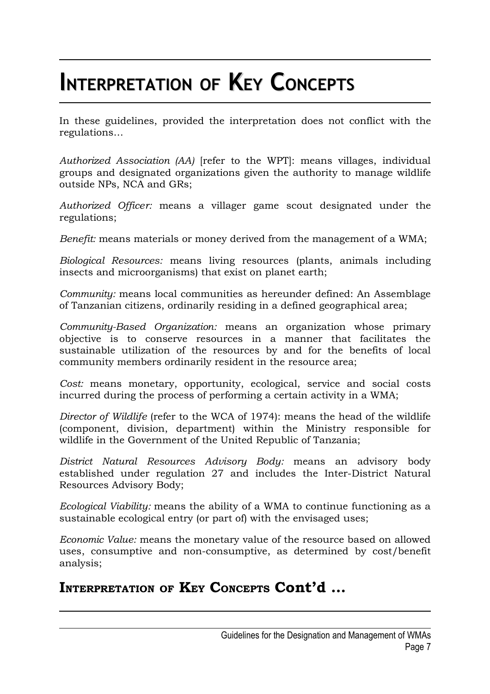# **INTERPRETATION OF KEY CONCEPTS**

In these guidelines, provided the interpretation does not conflict with the regulations…

*Authorized Association (AA)* [refer to the WPT]: means villages, individual groups and designated organizations given the authority to manage wildlife outside NPs, NCA and GRs;

*Authorized Officer:* means a villager game scout designated under the regulations;

*Benefit:* means materials or money derived from the management of a WMA;

*Biological Resources:* means living resources (plants, animals including insects and microorganisms) that exist on planet earth;

*Community:* means local communities as hereunder defined: An Assemblage of Tanzanian citizens, ordinarily residing in a defined geographical area;

*Community-Based Organization:* means an organization whose primary objective is to conserve resources in a manner that facilitates the sustainable utilization of the resources by and for the benefits of local community members ordinarily resident in the resource area;

*Cost:* means monetary, opportunity, ecological, service and social costs incurred during the process of performing a certain activity in a WMA;

*Director of Wildlife* (refer to the WCA of 1974): means the head of the wildlife (component, division, department) within the Ministry responsible for wildlife in the Government of the United Republic of Tanzania;

*District Natural Resources Advisory Body:* means an advisory body established under regulation 27 and includes the Inter-District Natural Resources Advisory Body;

*Ecological Viability:* means the ability of a WMA to continue functioning as a sustainable ecological entry (or part of) with the envisaged uses;

*Economic Value:* means the monetary value of the resource based on allowed uses, consumptive and non-consumptive, as determined by cost/benefit analysis;

### **INTERPRETATION OF KEY CONCEPTS Cont'd …**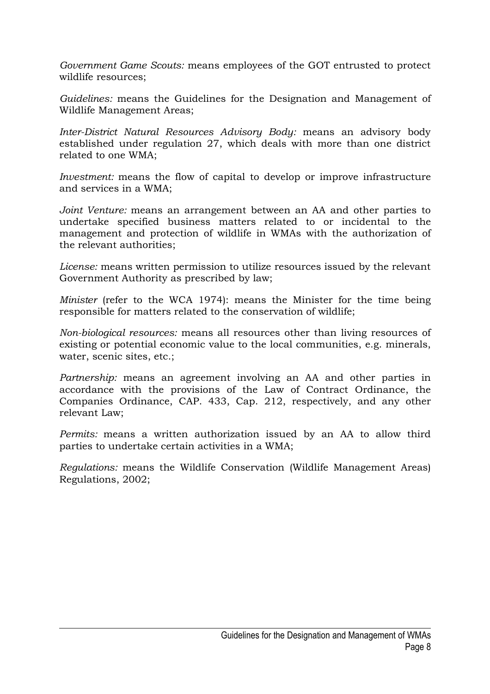*Government Game Scouts:* means employees of the GOT entrusted to protect wildlife resources;

*Guidelines:* means the Guidelines for the Designation and Management of Wildlife Management Areas;

*Inter-District Natural Resources Advisory Body:* means an advisory body established under regulation 27, which deals with more than one district related to one WMA;

*Investment:* means the flow of capital to develop or improve infrastructure and services in a WMA;

*Joint Venture:* means an arrangement between an AA and other parties to undertake specified business matters related to or incidental to the management and protection of wildlife in WMAs with the authorization of the relevant authorities;

*License:* means written permission to utilize resources issued by the relevant Government Authority as prescribed by law;

*Minister* (refer to the WCA 1974): means the Minister for the time being responsible for matters related to the conservation of wildlife;

*Non-biological resources:* means all resources other than living resources of existing or potential economic value to the local communities, e.g. minerals, water, scenic sites, etc.;

*Partnership:* means an agreement involving an AA and other parties in accordance with the provisions of the Law of Contract Ordinance, the Companies Ordinance, CAP. 433, Cap. 212, respectively, and any other relevant Law;

*Permits:* means a written authorization issued by an AA to allow third parties to undertake certain activities in a WMA;

*Regulations:* means the Wildlife Conservation (Wildlife Management Areas) Regulations, 2002;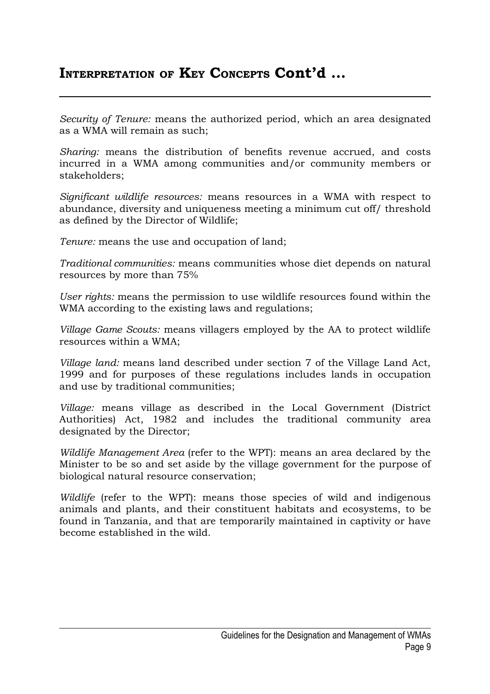### **INTERPRETATION OF KEY CONCEPTS Cont'd …**

*Security of Tenure:* means the authorized period, which an area designated as a WMA will remain as such;

*Sharing:* means the distribution of benefits revenue accrued, and costs incurred in a WMA among communities and/or community members or stakeholders;

*Significant wildlife resources:* means resources in a WMA with respect to abundance, diversity and uniqueness meeting a minimum cut off/ threshold as defined by the Director of Wildlife;

*Tenure:* means the use and occupation of land;

*Traditional communities:* means communities whose diet depends on natural resources by more than 75%

*User rights:* means the permission to use wildlife resources found within the WMA according to the existing laws and regulations;

*Village Game Scouts:* means villagers employed by the AA to protect wildlife resources within a WMA;

*Village land:* means land described under section 7 of the Village Land Act, 1999 and for purposes of these regulations includes lands in occupation and use by traditional communities;

*Village:* means village as described in the Local Government (District Authorities) Act, 1982 and includes the traditional community area designated by the Director;

*Wildlife Management Area* (refer to the WPT): means an area declared by the Minister to be so and set aside by the village government for the purpose of biological natural resource conservation;

*Wildlife* (refer to the WPT): means those species of wild and indigenous animals and plants, and their constituent habitats and ecosystems, to be found in Tanzania, and that are temporarily maintained in captivity or have become established in the wild.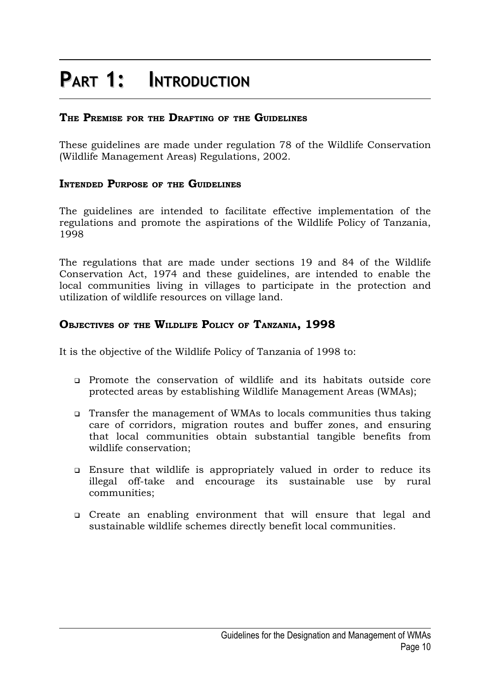### **PART 1: INTRODUCTION**

#### **THE PREMISE FOR THE DRAFTING OF THE GUIDELINES**

These guidelines are made under regulation 78 of the Wildlife Conservation (Wildlife Management Areas) Regulations, 2002.

#### **INTENDED PURPOSE OF THE GUIDELINES**

The guidelines are intended to facilitate effective implementation of the regulations and promote the aspirations of the Wildlife Policy of Tanzania, 1998

The regulations that are made under sections 19 and 84 of the Wildlife Conservation Act, 1974 and these guidelines, are intended to enable the local communities living in villages to participate in the protection and utilization of wildlife resources on village land.

#### **OBJECTIVES OF THE WILDLIFE POLICY OF TANZANIA, 1998**

It is the objective of the Wildlife Policy of Tanzania of 1998 to:

- Promote the conservation of wildlife and its habitats outside core protected areas by establishing Wildlife Management Areas (WMAs);
- Transfer the management of WMAs to locals communities thus taking care of corridors, migration routes and buffer zones, and ensuring that local communities obtain substantial tangible benefits from wildlife conservation;
- Ensure that wildlife is appropriately valued in order to reduce its illegal off-take and encourage its sustainable use by rural communities;
- Create an enabling environment that will ensure that legal and sustainable wildlife schemes directly benefit local communities.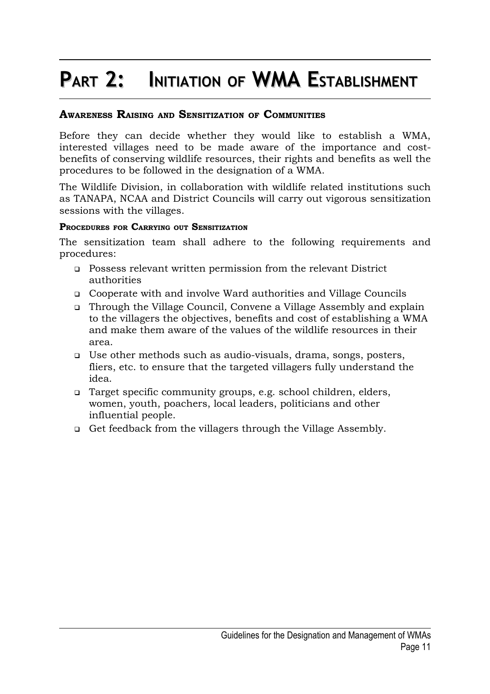# **PART 2: INITIATION OF WMA ESTABLISHMENT**

### **AWARENESS RAISING AND SENSITIZATION OF COMMUNITIES**

Before they can decide whether they would like to establish a WMA, interested villages need to be made aware of the importance and costbenefits of conserving wildlife resources, their rights and benefits as well the procedures to be followed in the designation of a WMA.

The Wildlife Division, in collaboration with wildlife related institutions such as TANAPA, NCAA and District Councils will carry out vigorous sensitization sessions with the villages.

#### **PROCEDURES FOR CARRYING OUT SENSITIZATION**

The sensitization team shall adhere to the following requirements and procedures:

- Possess relevant written permission from the relevant District authorities
- Cooperate with and involve Ward authorities and Village Councils
- Through the Village Council, Convene a Village Assembly and explain to the villagers the objectives, benefits and cost of establishing a WMA and make them aware of the values of the wildlife resources in their area.
- Use other methods such as audio-visuals, drama, songs, posters, fliers, etc. to ensure that the targeted villagers fully understand the idea.
- Target specific community groups, e.g. school children, elders, women, youth, poachers, local leaders, politicians and other influential people.
- Get feedback from the villagers through the Village Assembly.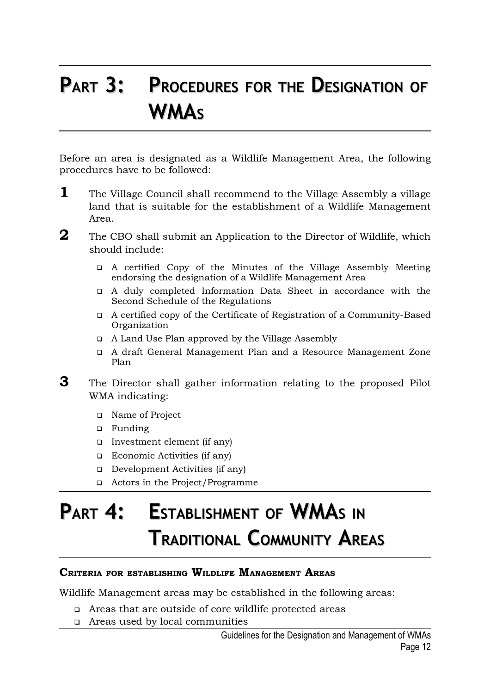### **PART 3: PROCEDURES FOR THE DESIGNATION OF WMA<sup>S</sup>**

Before an area is designated as a Wildlife Management Area, the following procedures have to be followed:

- **1** The Village Council shall recommend to the Village Assembly a village land that is suitable for the establishment of a Wildlife Management Area.
- **2** The CBO shall submit an Application to the Director of Wildlife, which should include:
	- A certified Copy of the Minutes of the Village Assembly Meeting endorsing the designation of a Wildlife Management Area
	- A duly completed Information Data Sheet in accordance with the Second Schedule of the Regulations
	- A certified copy of the Certificate of Registration of a Community-Based Organization
	- A Land Use Plan approved by the Village Assembly
	- A draft General Management Plan and a Resource Management Zone Plan
- **3** The Director shall gather information relating to the proposed Pilot WMA indicating:
	- Name of Project
	- Funding
	- Investment element (if any)
	- □ Economic Activities (if any)
	- Development Activities (if any)
	- Actors in the Project/Programme

### **PART 4: ESTABLISHMENT OF WMA<sup>S</sup> IN TRADITIONAL COMMUNITY AREAS**

#### **CRITERIA FOR ESTABLISHING WILDLIFE MANAGEMENT AREAS**

Wildlife Management areas may be established in the following areas:

- Areas that are outside of core wildlife protected areas
- Areas used by local communities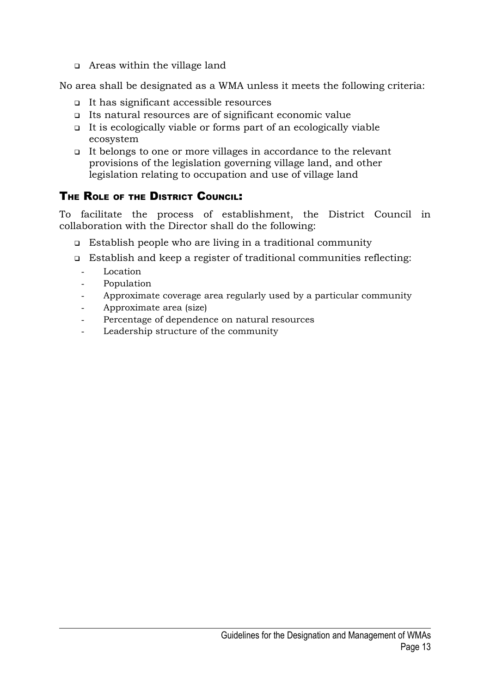Areas within the village land

No area shall be designated as a WMA unless it meets the following criteria:

- It has significant accessible resources
- Its natural resources are of significant economic value
- It is ecologically viable or forms part of an ecologically viable ecosystem
- It belongs to one or more villages in accordance to the relevant provisions of the legislation governing village land, and other legislation relating to occupation and use of village land

### THE ROLE OF THE DISTRICT COUNCIL:

To facilitate the process of establishment, the District Council in collaboration with the Director shall do the following:

- Establish people who are living in a traditional community
- Establish and keep a register of traditional communities reflecting:
	- **Location**
	- Population
	- Approximate coverage area regularly used by a particular community
	- Approximate area (size)
	- Percentage of dependence on natural resources
	- Leadership structure of the community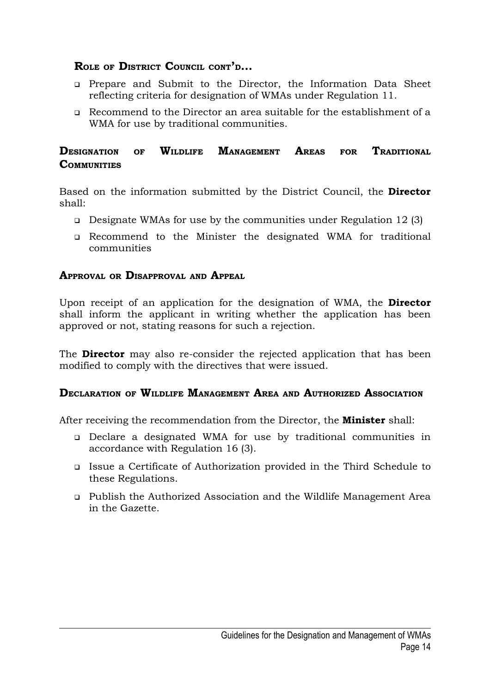### **ROLE OF DISTRICT COUNCIL CONT'D…**

- Prepare and Submit to the Director, the Information Data Sheet reflecting criteria for designation of WMAs under Regulation 11.
- Recommend to the Director an area suitable for the establishment of a WMA for use by traditional communities.

### **DESIGNATION OF WILDLIFE MANAGEMENT AREAS FOR TRADITIONAL COMMUNITIES**

Based on the information submitted by the District Council, the **Director** shall:

- Designate WMAs for use by the communities under Regulation 12 (3)
- Recommend to the Minister the designated WMA for traditional communities

#### **APPROVAL OR DISAPPROVAL AND APPEAL**

Upon receipt of an application for the designation of WMA, the **Director** shall inform the applicant in writing whether the application has been approved or not, stating reasons for such a rejection.

The **Director** may also re-consider the rejected application that has been modified to comply with the directives that were issued.

#### **DECLARATION OF WILDLIFE MANAGEMENT AREA AND AUTHORIZED ASSOCIATION**

After receiving the recommendation from the Director, the **Minister** shall:

- Declare a designated WMA for use by traditional communities in accordance with Regulation 16 (3).
- Issue a Certificate of Authorization provided in the Third Schedule to these Regulations.
- Publish the Authorized Association and the Wildlife Management Area in the Gazette.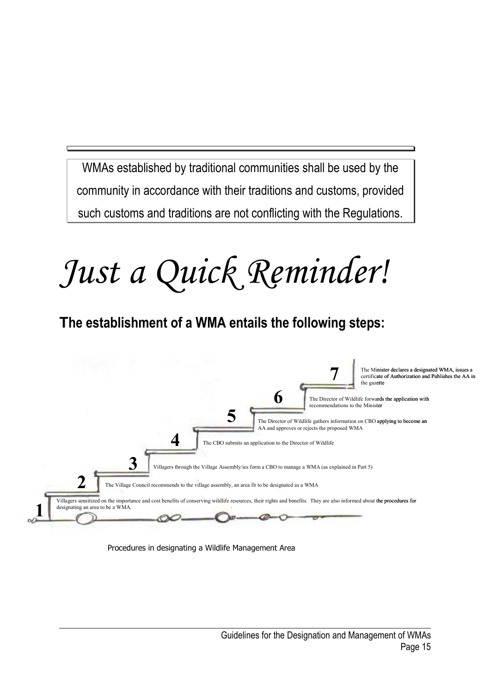WMAs established by traditional communities shall be used by the community in accordance with their traditions and customs, provided such customs and traditions are not conflicting with the Regulations.

# *Just a Quick Reminder!*

### **The establishment of a WMA entails the following steps:**



Procedures in designating a Wildlife Management Area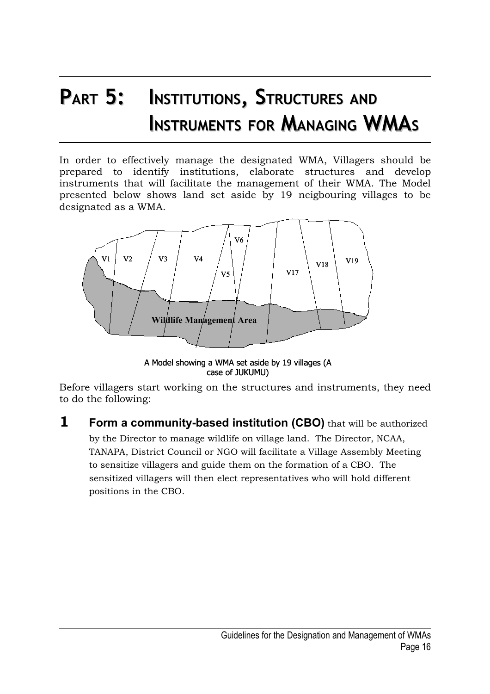# **PART 5: INSTITUTIONS, STRUCTURES AND INSTRUMENTS FOR MANAGING WMA<sup>S</sup>**

In order to effectively manage the designated WMA, Villagers should be prepared to identify institutions, elaborate structures and develop instruments that will facilitate the management of their WMA. The Model presented below shows land set aside by 19 neigbouring villages to be designated as a WMA.



A Model showing a WMA set aside by 19 villages (A case of JUKUMU)

Before villagers start working on the structures and instruments, they need to do the following:

**1 Form a community-based institution (CBO)** that will be authorized by the Director to manage wildlife on village land. The Director, NCAA, TANAPA, District Council or NGO will facilitate a Village Assembly Meeting to sensitize villagers and guide them on the formation of a CBO. The sensitized villagers will then elect representatives who will hold different positions in the CBO.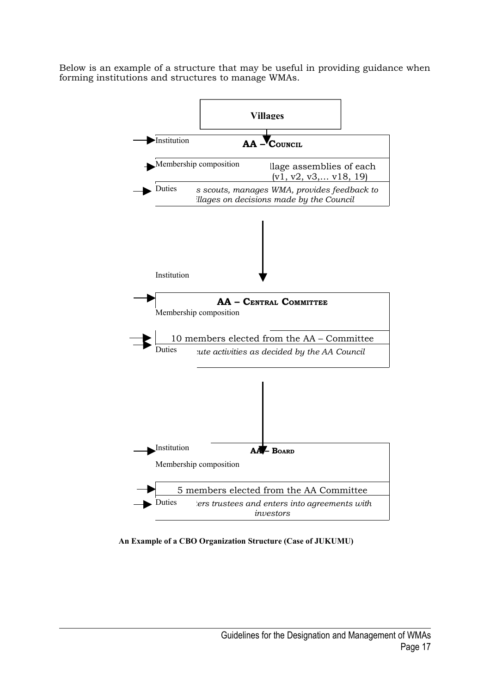Below is an example of a structure that may be useful in providing guidance when forming institutions and structures to manage WMAs.



**An Example of a CBO Organization Structure (Case of JUKUMU)**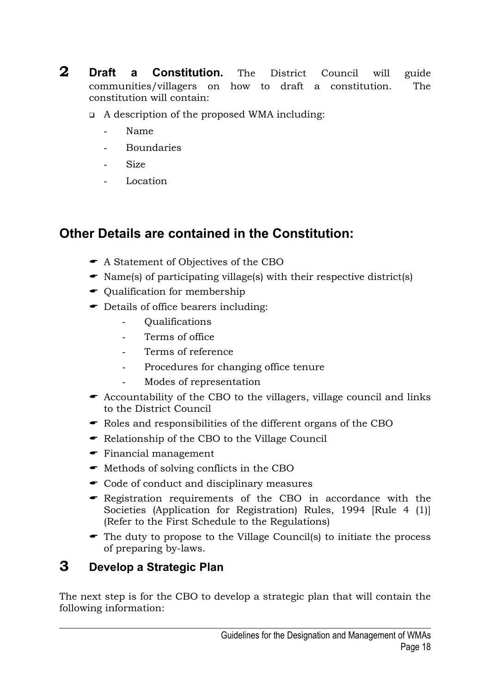- **2 Draft a Constitution.** The District Council will guide communities/villagers on how to draft a constitution. The constitution will contain:
	- A description of the proposed WMA including:
		- Name
		- **Boundaries**
		- Size
		- Location

### **Other Details are contained in the Constitution:**

- A Statement of Objectives of the CBO
- Name(s) of participating village(s) with their respective district(s)
- $\bullet$  Qualification for membership
- Details of office bearers including:
	- Qualifications
	- Terms of office
	- Terms of reference
	- Procedures for changing office tenure
	- Modes of representation
- $\bullet$  Accountability of the CBO to the villagers, village council and links to the District Council
- Roles and responsibilities of the different organs of the CBO
- Relationship of the CBO to the Village Council
- Financial management
- $\bullet$  Methods of solving conflicts in the CBO
- Code of conduct and disciplinary measures
- Registration requirements of the CBO in accordance with the Societies (Application for Registration) Rules, 1994 [Rule 4 (1)] (Refer to the First Schedule to the Regulations)
- The duty to propose to the Village Council(s) to initiate the process of preparing by-laws.

### **3 Develop a Strategic Plan**

The next step is for the CBO to develop a strategic plan that will contain the following information: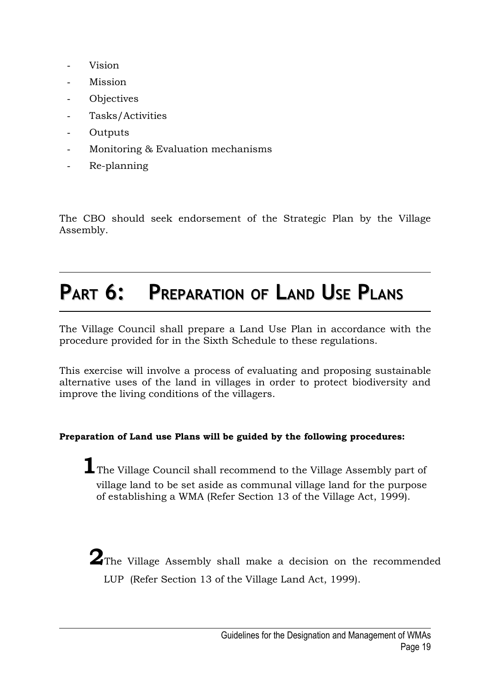- Vision
- **Mission**
- **Objectives**
- Tasks/Activities
- **Outputs**
- Monitoring & Evaluation mechanisms
- Re-planning

The CBO should seek endorsement of the Strategic Plan by the Village Assembly.

### **PART 6: PREPARATION OF LAND USE PLANS**

The Village Council shall prepare a Land Use Plan in accordance with the procedure provided for in the Sixth Schedule to these regulations.

This exercise will involve a process of evaluating and proposing sustainable alternative uses of the land in villages in order to protect biodiversity and improve the living conditions of the villagers.

#### **Preparation of Land use Plans will be guided by the following procedures:**

**1**The Village Council shall recommend to the Village Assembly part of village land to be set aside as communal village land for the purpose of establishing a WMA (Refer Section 13 of the Village Act, 1999).

**2**The Village Assembly shall make a decision on the recommended LUP (Refer Section 13 of the Village Land Act, 1999).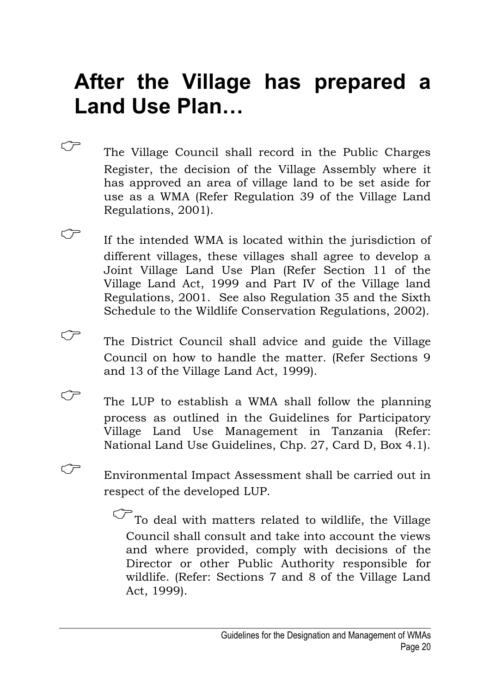# **After the Village has prepared a Land Use Plan…**

- The Village Council shall record in the Public Charges Register, the decision of the Village Assembly where it has approved an area of village land to be set aside for use as a WMA (Refer Regulation 39 of the Village Land Regulations, 2001).
- $\widehat{C}$  If the intended WMA is located within the jurisdiction of different villages, these villages shall agree to develop a Joint Village Land Use Plan (Refer Section 11 of the Village Land Act, 1999 and Part IV of the Village land Regulations, 2001. See also Regulation 35 and the Sixth Schedule to the Wildlife Conservation Regulations, 2002).
- The District Council shall advice and guide the Village Council on how to handle the matter. (Refer Sections 9 and 13 of the Village Land Act, 1999).
- $\mathbb{C}$  The LUP to establish a WMA shall follow the planning process as outlined in the Guidelines for Participatory Village Land Use Management in Tanzania (Refer: National Land Use Guidelines, Chp. 27, Card D, Box 4.1).
- Environmental Impact Assessment shall be carried out in respect of the developed LUP.

 $\widehat{\mathbb{C}}$  To deal with matters related to wildlife, the Village Council shall consult and take into account the views and where provided, comply with decisions of the Director or other Public Authority responsible for wildlife. (Refer: Sections 7 and 8 of the Village Land Act, 1999).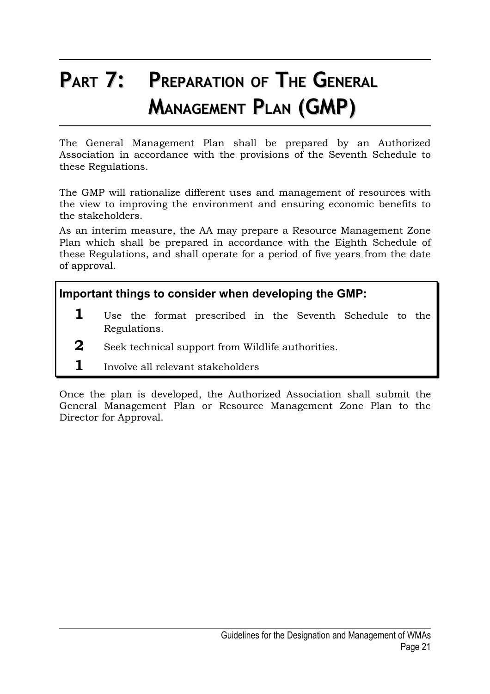# **PART 7: PREPARATION OF THE GENERAL MANAGEMENT PLAN (GMP)**

The General Management Plan shall be prepared by an Authorized Association in accordance with the provisions of the Seventh Schedule to these Regulations.

The GMP will rationalize different uses and management of resources with the view to improving the environment and ensuring economic benefits to the stakeholders.

As an interim measure, the AA may prepare a Resource Management Zone Plan which shall be prepared in accordance with the Eighth Schedule of these Regulations, and shall operate for a period of five years from the date of approval.

**Important things to consider when developing the GMP:**

- **1** Use the format prescribed in the Seventh Schedule to the Regulations.
- **2** Seek technical support from Wildlife authorities.
- **1** Involve all relevant stakeholders

Once the plan is developed, the Authorized Association shall submit the General Management Plan or Resource Management Zone Plan to the Director for Approval.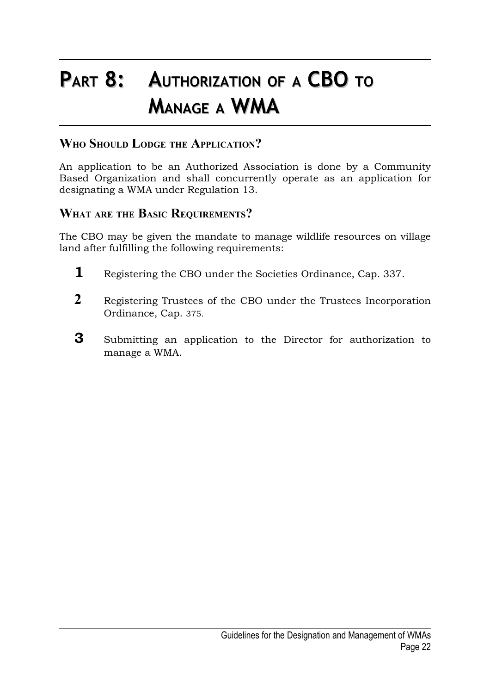# **PART 8: AUTHORIZATION OF <sup>A</sup> CBO TO MANAGE <sup>A</sup> WMA**

### **WHO SHOULD LODGE THE APPLICATION?**

An application to be an Authorized Association is done by a Community Based Organization and shall concurrently operate as an application for designating a WMA under Regulation 13.

### **WHAT ARE THE BASIC REQUIREMENTS?**

The CBO may be given the mandate to manage wildlife resources on village land after fulfilling the following requirements:

- **1** Registering the CBO under the Societies Ordinance, Cap. 337.
- **2** Registering Trustees of the CBO under the Trustees Incorporation Ordinance, Cap. 375.
- **3** Submitting an application to the Director for authorization to manage a WMA.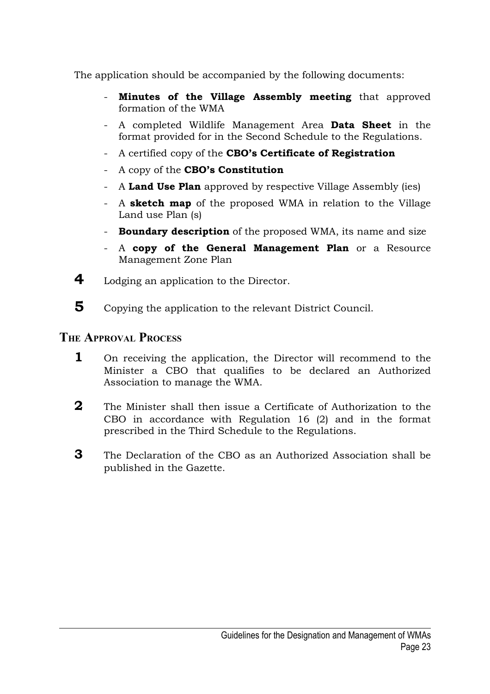The application should be accompanied by the following documents:

- **Minutes of the Village Assembly meeting** that approved formation of the WMA
- A completed Wildlife Management Area **Data Sheet** in the format provided for in the Second Schedule to the Regulations.
- A certified copy of the **CBO's Certificate of Registration**
- A copy of the **CBO's Constitution**
- A **Land Use Plan** approved by respective Village Assembly (ies)
- A **sketch map** of the proposed WMA in relation to the Village Land use Plan (s)
- **Boundary description** of the proposed WMA, its name and size
- A **copy of the General Management Plan** or a Resource Management Zone Plan
- **4** Lodging an application to the Director.
- **5** Copying the application to the relevant District Council.

### **THE APPROVAL PROCESS**

- **1** On receiving the application, the Director will recommend to the Minister a CBO that qualifies to be declared an Authorized Association to manage the WMA.
- **2** The Minister shall then issue a Certificate of Authorization to the CBO in accordance with Regulation 16 (2) and in the format prescribed in the Third Schedule to the Regulations.
- **3** The Declaration of the CBO as an Authorized Association shall be published in the Gazette.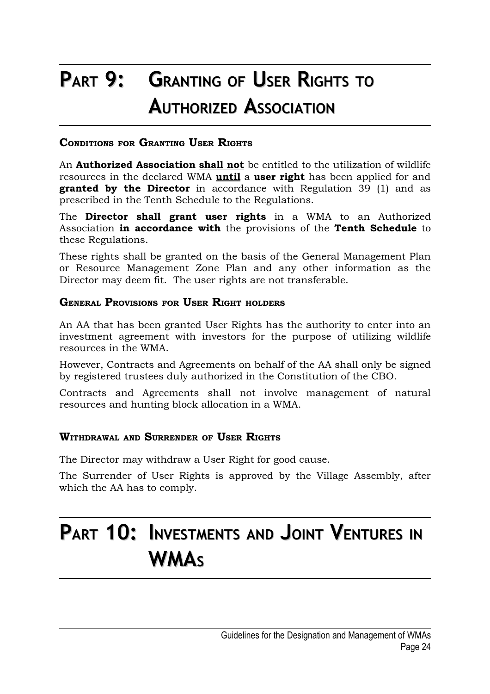# **PART 9: GRANTING OF USER RIGHTS TO AUTHORIZED ASSOCIATION**

#### **CONDITIONS FOR GRANTING USER RIGHTS**

An **Authorized Association shall not** be entitled to the utilization of wildlife resources in the declared WMA **until** a **user right** has been applied for and **granted by the Director** in accordance with Regulation 39 (1) and as prescribed in the Tenth Schedule to the Regulations.

The **Director shall grant user rights** in a WMA to an Authorized Association **in accordance with** the provisions of the **Tenth Schedule** to these Regulations.

These rights shall be granted on the basis of the General Management Plan or Resource Management Zone Plan and any other information as the Director may deem fit. The user rights are not transferable.

#### **GENERAL PROVISIONS FOR USER RIGHT HOLDERS**

An AA that has been granted User Rights has the authority to enter into an investment agreement with investors for the purpose of utilizing wildlife resources in the WMA.

However, Contracts and Agreements on behalf of the AA shall only be signed by registered trustees duly authorized in the Constitution of the CBO.

Contracts and Agreements shall not involve management of natural resources and hunting block allocation in a WMA.

#### **WITHDRAWAL AND SURRENDER OF USER RIGHTS**

The Director may withdraw a User Right for good cause.

The Surrender of User Rights is approved by the Village Assembly, after which the AA has to comply.

### **PART 10: INVESTMENTS AND JOINT VENTURES IN WMA<sup>S</sup>**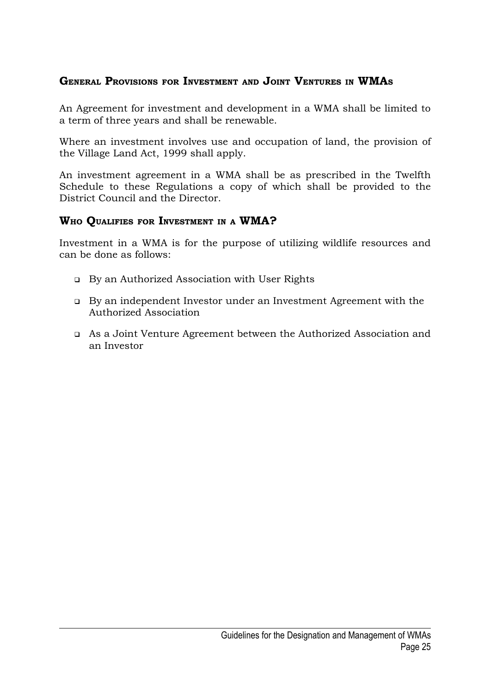### **GENERAL PROVISIONS FOR INVESTMENT AND JOINT VENTURES IN WMA<sup>S</sup>**

An Agreement for investment and development in a WMA shall be limited to a term of three years and shall be renewable.

Where an investment involves use and occupation of land, the provision of the Village Land Act, 1999 shall apply.

An investment agreement in a WMA shall be as prescribed in the Twelfth Schedule to these Regulations a copy of which shall be provided to the District Council and the Director.

#### **WHO QUALIFIES FOR INVESTMENT IN <sup>A</sup> WMA?**

Investment in a WMA is for the purpose of utilizing wildlife resources and can be done as follows:

- By an Authorized Association with User Rights
- By an independent Investor under an Investment Agreement with the Authorized Association
- As a Joint Venture Agreement between the Authorized Association and an Investor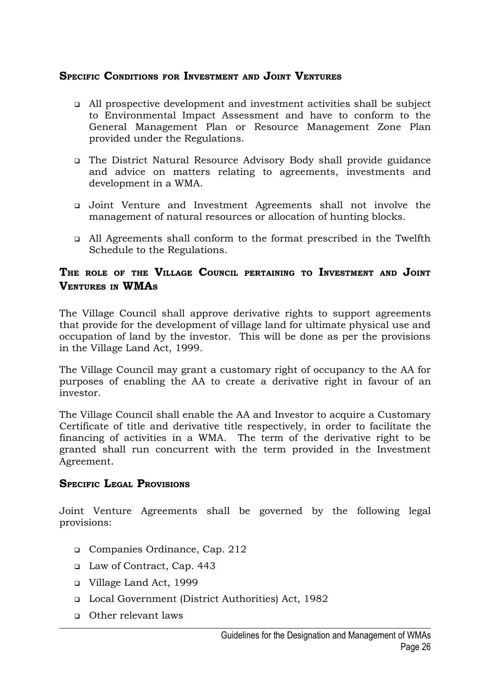#### **SPECIFIC CONDITIONS FOR INVESTMENT AND JOINT VENTURES**

- All prospective development and investment activities shall be subject to Environmental Impact Assessment and have to conform to the General Management Plan or Resource Management Zone Plan provided under the Regulations.
- The District Natural Resource Advisory Body shall provide guidance and advice on matters relating to agreements, investments and development in a WMA.
- Joint Venture and Investment Agreements shall not involve the management of natural resources or allocation of hunting blocks.
- All Agreements shall conform to the format prescribed in the Twelfth Schedule to the Regulations.

#### **THE ROLE OF THE VILLAGE COUNCIL PERTAINING TO INVESTMENT AND JOINT VENTURES IN WMA<sup>S</sup>**

The Village Council shall approve derivative rights to support agreements that provide for the development of village land for ultimate physical use and occupation of land by the investor. This will be done as per the provisions in the Village Land Act, 1999.

The Village Council may grant a customary right of occupancy to the AA for purposes of enabling the AA to create a derivative right in favour of an investor.

The Village Council shall enable the AA and Investor to acquire a Customary Certificate of title and derivative title respectively, in order to facilitate the financing of activities in a WMA. The term of the derivative right to be granted shall run concurrent with the term provided in the Investment Agreement.

#### **SPECIFIC LEGAL PROVISIONS**

Joint Venture Agreements shall be governed by the following legal provisions:

- Companies Ordinance, Cap. 212
- Law of Contract, Cap. 443
- Village Land Act, 1999
- Local Government (District Authorities) Act, 1982
- Other relevant laws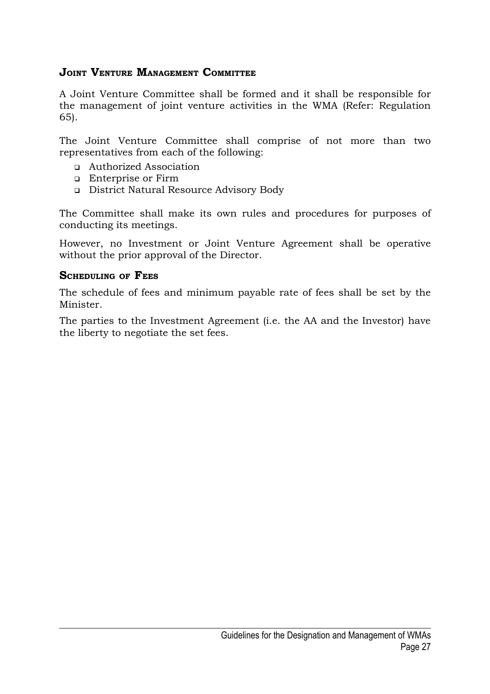### **JOINT VENTURE MANAGEMENT COMMITTEE**

A Joint Venture Committee shall be formed and it shall be responsible for the management of joint venture activities in the WMA (Refer: Regulation 65).

The Joint Venture Committee shall comprise of not more than two representatives from each of the following:

- Authorized Association
- **Enterprise or Firm**
- District Natural Resource Advisory Body

The Committee shall make its own rules and procedures for purposes of conducting its meetings.

However, no Investment or Joint Venture Agreement shall be operative without the prior approval of the Director.

#### **SCHEDULING OF FEES**

The schedule of fees and minimum payable rate of fees shall be set by the Minister.

The parties to the Investment Agreement (i.e. the AA and the Investor) have the liberty to negotiate the set fees.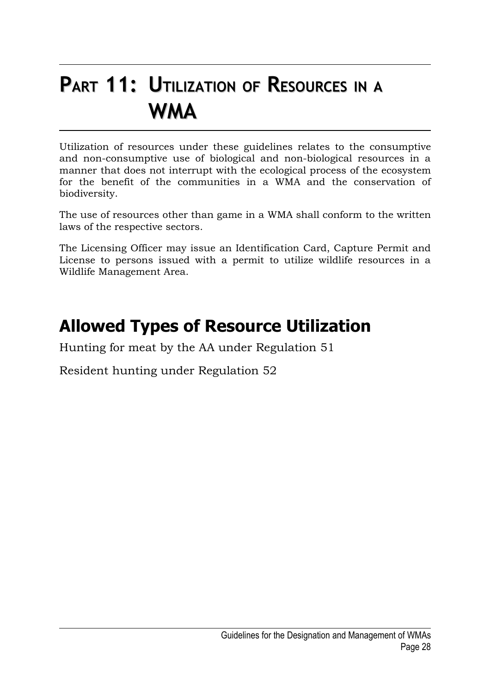### **PART 11: UTILIZATION OF RESOURCES IN <sup>A</sup> WMA**

Utilization of resources under these guidelines relates to the consumptive and non-consumptive use of biological and non-biological resources in a manner that does not interrupt with the ecological process of the ecosystem for the benefit of the communities in a WMA and the conservation of biodiversity.

The use of resources other than game in a WMA shall conform to the written laws of the respective sectors.

The Licensing Officer may issue an Identification Card, Capture Permit and License to persons issued with a permit to utilize wildlife resources in a Wildlife Management Area.

### **Allowed Types of Resource Utilization**

Hunting for meat by the AA under Regulation 51

Resident hunting under Regulation 52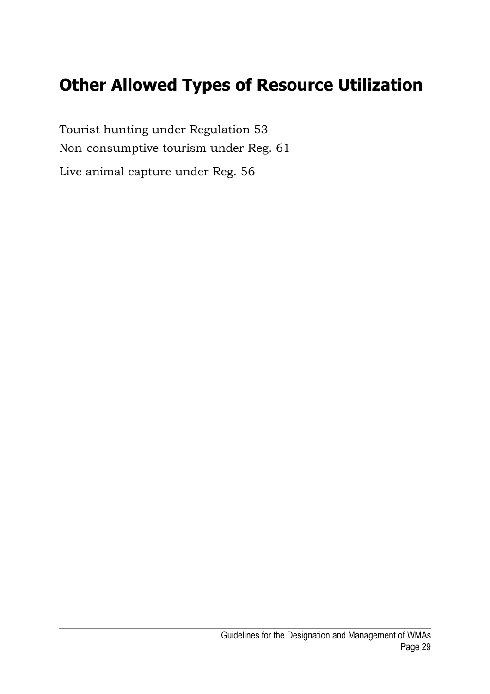### **Other Allowed Types of Resource Utilization**

Tourist hunting under Regulation 53 Non-consumptive tourism under Reg. 61 Live animal capture under Reg. 56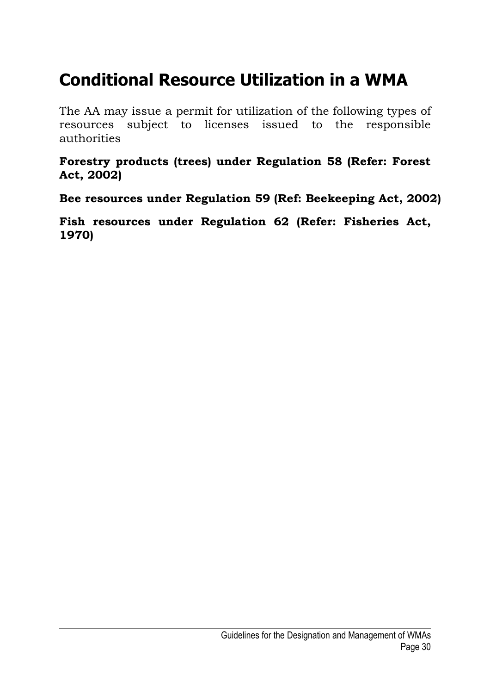### **Conditional Resource Utilization in a WMA**

The AA may issue a permit for utilization of the following types of resources subject to licenses issued to the responsible authorities

**Forestry products (trees) under Regulation 58 (Refer: Forest Act, 2002)**

**Bee resources under Regulation 59 (Ref: Beekeeping Act, 2002)** 

**Fish resources under Regulation 62 (Refer: Fisheries Act, 1970)**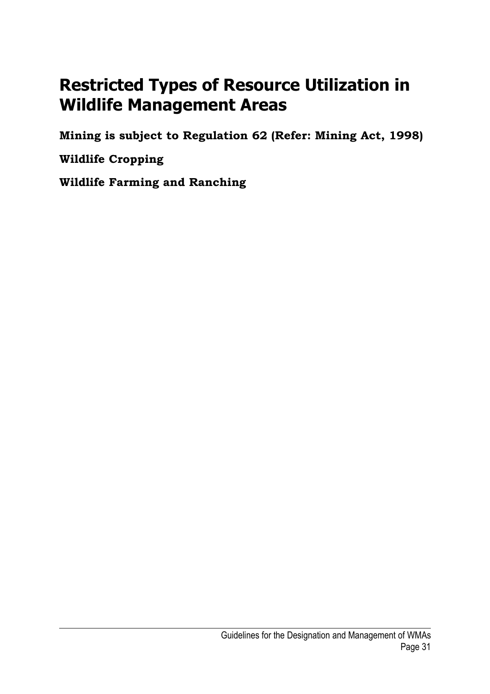### **Restricted Types of Resource Utilization in Wildlife Management Areas**

**Mining is subject to Regulation 62 (Refer: Mining Act, 1998)**

**Wildlife Cropping**

**Wildlife Farming and Ranching**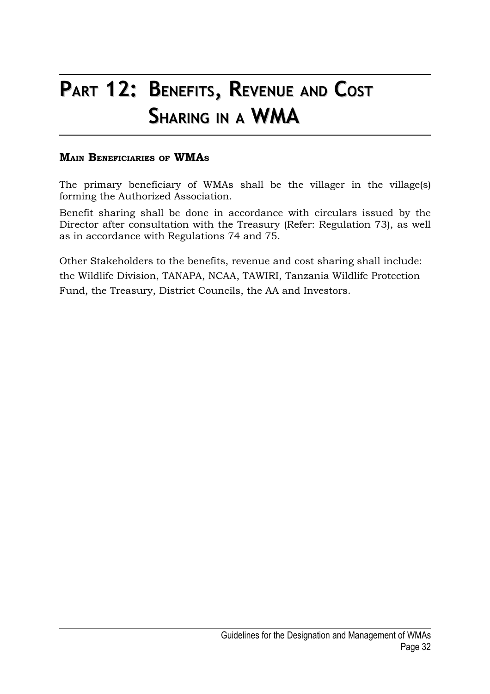### **PART 12: BENEFITS, REVENUE AND COST SHARING IN <sup>A</sup> WMA**

#### **MAIN BENEFICIARIES OF WMA<sup>S</sup>**

The primary beneficiary of WMAs shall be the villager in the village(s) forming the Authorized Association.

Benefit sharing shall be done in accordance with circulars issued by the Director after consultation with the Treasury (Refer: Regulation 73), as well as in accordance with Regulations 74 and 75.

Other Stakeholders to the benefits, revenue and cost sharing shall include: the Wildlife Division, TANAPA, NCAA, TAWIRI, Tanzania Wildlife Protection Fund, the Treasury, District Councils, the AA and Investors.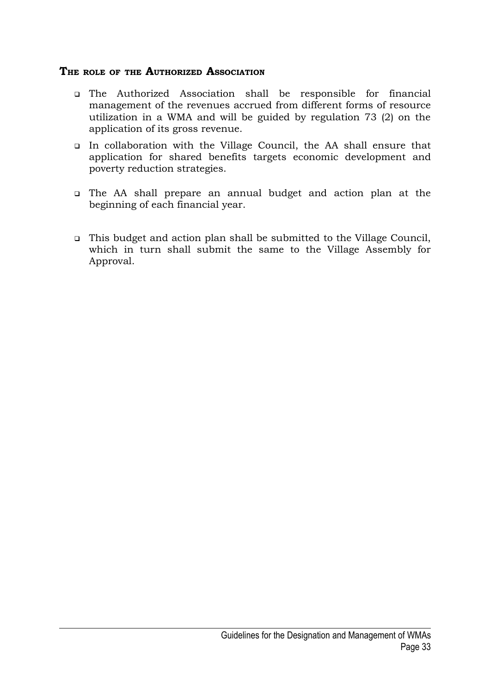#### **THE ROLE OF THE AUTHORIZED ASSOCIATION**

- The Authorized Association shall be responsible for financial management of the revenues accrued from different forms of resource utilization in a WMA and will be guided by regulation 73 (2) on the application of its gross revenue.
- In collaboration with the Village Council, the AA shall ensure that application for shared benefits targets economic development and poverty reduction strategies.
- The AA shall prepare an annual budget and action plan at the beginning of each financial year.
- This budget and action plan shall be submitted to the Village Council, which in turn shall submit the same to the Village Assembly for Approval.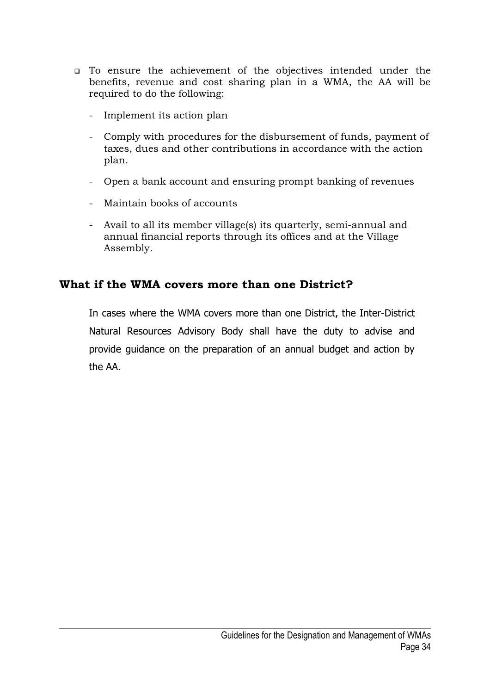- To ensure the achievement of the objectives intended under the benefits, revenue and cost sharing plan in a WMA, the AA will be required to do the following:
	- Implement its action plan
	- Comply with procedures for the disbursement of funds, payment of taxes, dues and other contributions in accordance with the action plan.
	- Open a bank account and ensuring prompt banking of revenues
	- Maintain books of accounts
	- Avail to all its member village(s) its quarterly, semi-annual and annual financial reports through its offices and at the Village Assembly.

### **What if the WMA covers more than one District?**

In cases where the WMA covers more than one District, the Inter-District Natural Resources Advisory Body shall have the duty to advise and provide guidance on the preparation of an annual budget and action by the AA.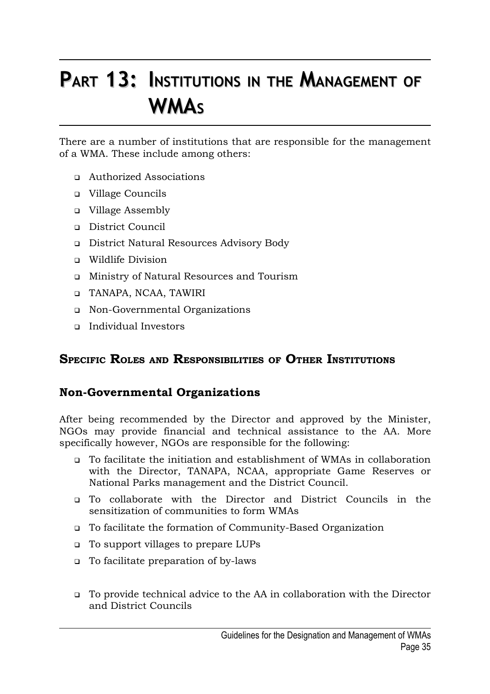# **PART 13: INSTITUTIONS IN THE MANAGEMENT OF WMA<sup>S</sup>**

There are a number of institutions that are responsible for the management of a WMA. These include among others:

- Authorized Associations
- Village Councils
- Village Assembly
- District Council
- District Natural Resources Advisory Body
- Wildlife Division
- Ministry of Natural Resources and Tourism
- TANAPA, NCAA, TAWIRI
- Non-Governmental Organizations
- Individual Investors

### **SPECIFIC ROLES AND RESPONSIBILITIES OF OTHER INSTITUTIONS**

### **Non-Governmental Organizations**

After being recommended by the Director and approved by the Minister, NGOs may provide financial and technical assistance to the AA. More specifically however, NGOs are responsible for the following:

- To facilitate the initiation and establishment of WMAs in collaboration with the Director, TANAPA, NCAA, appropriate Game Reserves or National Parks management and the District Council.
- To collaborate with the Director and District Councils in the sensitization of communities to form WMAs
- To facilitate the formation of Community-Based Organization
- To support villages to prepare LUPs
- To facilitate preparation of by-laws
- To provide technical advice to the AA in collaboration with the Director and District Councils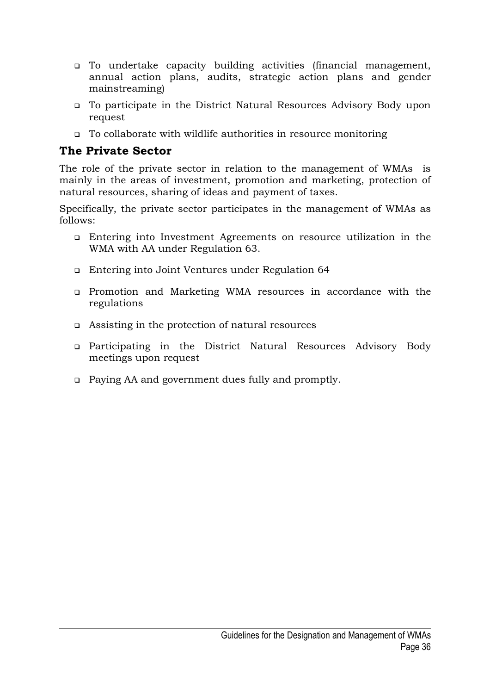- To undertake capacity building activities (financial management, annual action plans, audits, strategic action plans and gender mainstreaming)
- To participate in the District Natural Resources Advisory Body upon request
- To collaborate with wildlife authorities in resource monitoring

### **The Private Sector**

The role of the private sector in relation to the management of WMAs is mainly in the areas of investment, promotion and marketing, protection of natural resources, sharing of ideas and payment of taxes.

Specifically, the private sector participates in the management of WMAs as follows:

- Entering into Investment Agreements on resource utilization in the WMA with AA under Regulation 63.
- Entering into Joint Ventures under Regulation 64
- Promotion and Marketing WMA resources in accordance with the regulations
- Assisting in the protection of natural resources
- Participating in the District Natural Resources Advisory Body meetings upon request
- Paying AA and government dues fully and promptly.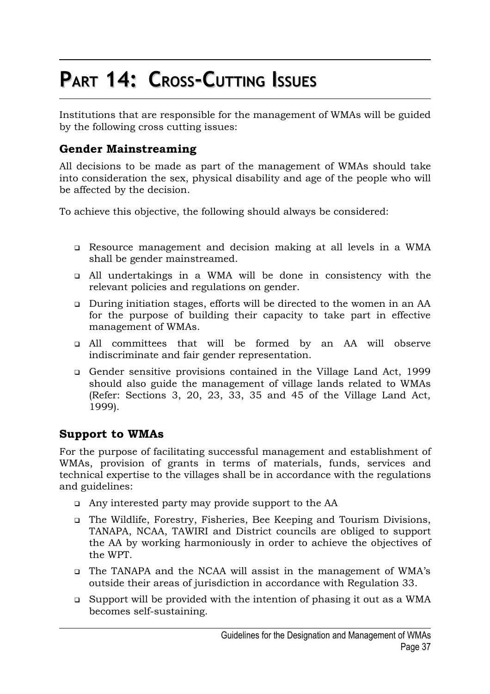# **PART 14: CROSS-CUTTING ISSUES**

Institutions that are responsible for the management of WMAs will be guided by the following cross cutting issues:

### **Gender Mainstreaming**

All decisions to be made as part of the management of WMAs should take into consideration the sex, physical disability and age of the people who will be affected by the decision.

To achieve this objective, the following should always be considered:

- Resource management and decision making at all levels in a WMA shall be gender mainstreamed.
- All undertakings in a WMA will be done in consistency with the relevant policies and regulations on gender.
- During initiation stages, efforts will be directed to the women in an AA for the purpose of building their capacity to take part in effective management of WMAs.
- All committees that will be formed by an AA will observe indiscriminate and fair gender representation.
- Gender sensitive provisions contained in the Village Land Act, 1999 should also guide the management of village lands related to WMAs (Refer: Sections 3, 20, 23, 33, 35 and 45 of the Village Land Act, 1999).

### **Support to WMAs**

For the purpose of facilitating successful management and establishment of WMAs, provision of grants in terms of materials, funds, services and technical expertise to the villages shall be in accordance with the regulations and guidelines:

- Any interested party may provide support to the AA
- The Wildlife, Forestry, Fisheries, Bee Keeping and Tourism Divisions, TANAPA, NCAA, TAWIRI and District councils are obliged to support the AA by working harmoniously in order to achieve the objectives of the WPT.
- The TANAPA and the NCAA will assist in the management of WMA's outside their areas of jurisdiction in accordance with Regulation 33.
- Support will be provided with the intention of phasing it out as a WMA becomes self-sustaining.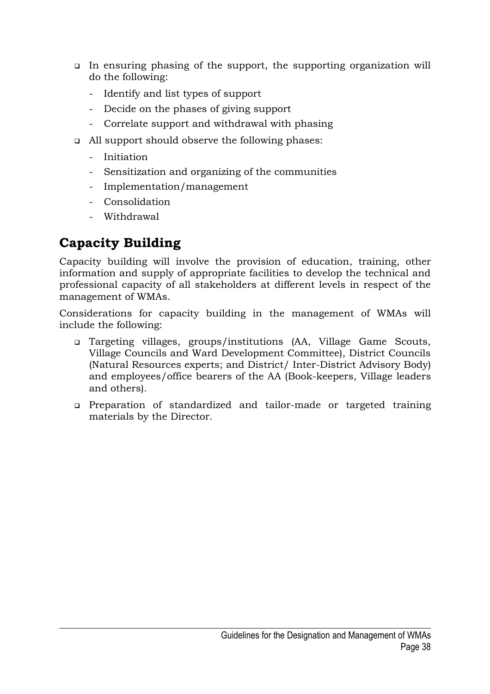- In ensuring phasing of the support, the supporting organization will do the following:
	- Identify and list types of support
	- Decide on the phases of giving support
	- Correlate support and withdrawal with phasing
- All support should observe the following phases:
	- Initiation
	- Sensitization and organizing of the communities
	- Implementation/management
	- Consolidation
	- Withdrawal

### **Capacity Building**

Capacity building will involve the provision of education, training, other information and supply of appropriate facilities to develop the technical and professional capacity of all stakeholders at different levels in respect of the management of WMAs.

Considerations for capacity building in the management of WMAs will include the following:

- Targeting villages, groups/institutions (AA, Village Game Scouts, Village Councils and Ward Development Committee), District Councils (Natural Resources experts; and District/ Inter-District Advisory Body) and employees/office bearers of the AA (Book-keepers, Village leaders and others).
- Preparation of standardized and tailor-made or targeted training materials by the Director.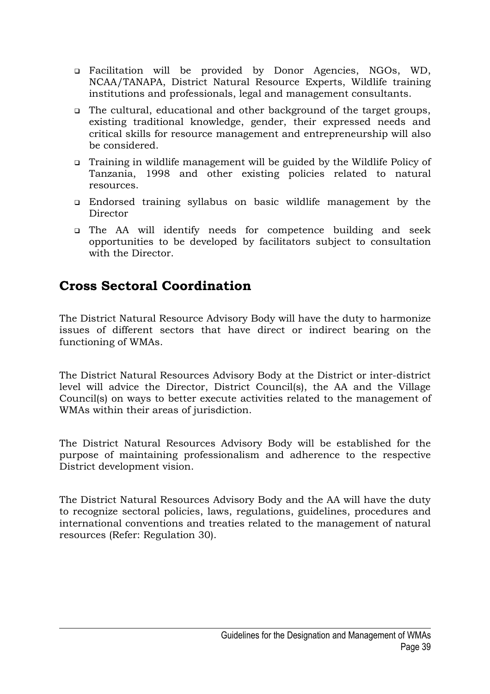- Facilitation will be provided by Donor Agencies, NGOs, WD, NCAA/TANAPA, District Natural Resource Experts, Wildlife training institutions and professionals, legal and management consultants.
- The cultural, educational and other background of the target groups, existing traditional knowledge, gender, their expressed needs and critical skills for resource management and entrepreneurship will also be considered.
- Training in wildlife management will be guided by the Wildlife Policy of Tanzania, 1998 and other existing policies related to natural resources.
- Endorsed training syllabus on basic wildlife management by the Director
- The AA will identify needs for competence building and seek opportunities to be developed by facilitators subject to consultation with the Director.

### **Cross Sectoral Coordination**

The District Natural Resource Advisory Body will have the duty to harmonize issues of different sectors that have direct or indirect bearing on the functioning of WMAs.

The District Natural Resources Advisory Body at the District or inter-district level will advice the Director, District Council(s), the AA and the Village Council(s) on ways to better execute activities related to the management of WMAs within their areas of jurisdiction.

The District Natural Resources Advisory Body will be established for the purpose of maintaining professionalism and adherence to the respective District development vision.

The District Natural Resources Advisory Body and the AA will have the duty to recognize sectoral policies, laws, regulations, guidelines, procedures and international conventions and treaties related to the management of natural resources (Refer: Regulation 30).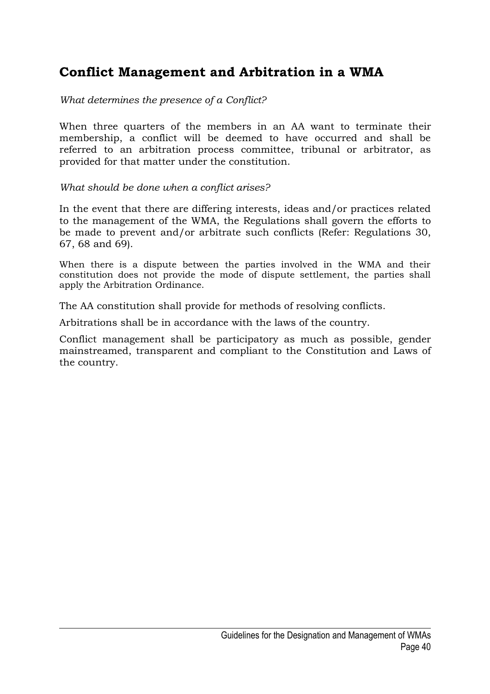### **Conflict Management and Arbitration in a WMA**

*What determines the presence of a Conflict?*

When three quarters of the members in an AA want to terminate their membership, a conflict will be deemed to have occurred and shall be referred to an arbitration process committee, tribunal or arbitrator, as provided for that matter under the constitution.

*What should be done when a conflict arises?*

In the event that there are differing interests, ideas and/or practices related to the management of the WMA, the Regulations shall govern the efforts to be made to prevent and/or arbitrate such conflicts (Refer: Regulations 30, 67, 68 and 69).

When there is a dispute between the parties involved in the WMA and their constitution does not provide the mode of dispute settlement, the parties shall apply the Arbitration Ordinance.

The AA constitution shall provide for methods of resolving conflicts.

Arbitrations shall be in accordance with the laws of the country.

Conflict management shall be participatory as much as possible, gender mainstreamed, transparent and compliant to the Constitution and Laws of the country.